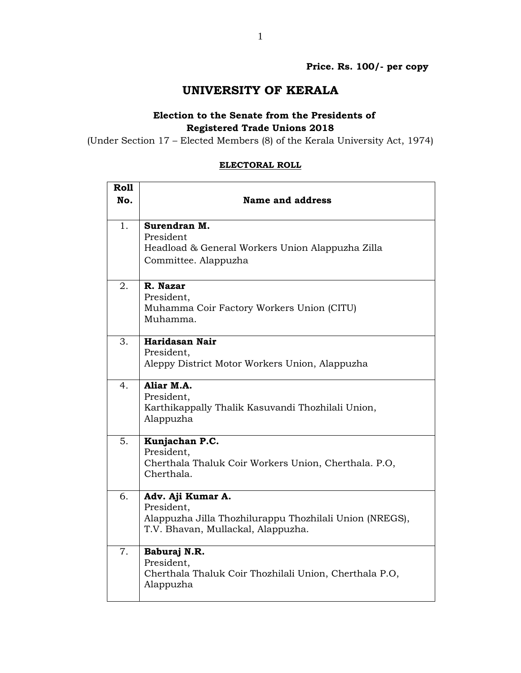## **UNIVERSITY OF KERALA**

## **Election to the Senate from the Presidents of Registered Trade Unions 2018**

(Under Section 17 – Elected Members (8) of the Kerala University Act, 1974)

# **Roll No. Name and address** 1. **Surendran M.** President Headload & General Workers Union Alappuzha Zilla Committee. Alappuzha 2. **R. Nazar** President, Muhamma Coir Factory Workers Union (CITU) Muhamma. 3. **Haridasan Nair** President, Aleppy District Motor Workers Union, Alappuzha 4. **Aliar M.A.** President, Karthikappally Thalik Kasuvandi Thozhilali Union, Alappuzha 5. **Kunjachan P.C.** President, Cherthala Thaluk Coir Workers Union, Cherthala. P.O, Cherthala. 6. **Adv. Aji Kumar A.** President, Alappuzha Jilla Thozhilurappu Thozhilali Union (NREGS), T.V. Bhavan, Mullackal, Alappuzha. 7. **Baburaj N.R.** President, Cherthala Thaluk Coir Thozhilali Union, Cherthala P.O, Alappuzha

#### **ELECTORAL ROLL**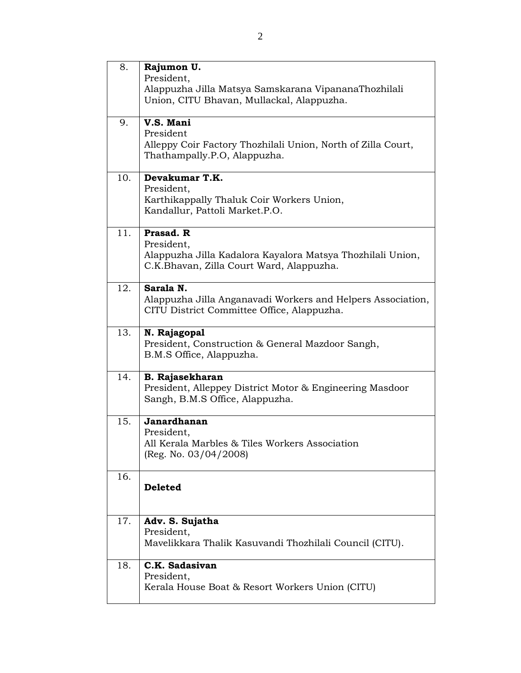| 8.  | Rajumon U.<br>President,<br>Alappuzha Jilla Matsya Samskarana VipananaThozhilali<br>Union, CITU Bhavan, Mullackal, Alappuzha.     |
|-----|-----------------------------------------------------------------------------------------------------------------------------------|
| 9.  | V.S. Mani<br>President<br>Alleppy Coir Factory Thozhilali Union, North of Zilla Court,<br>Thathampally.P.O, Alappuzha.            |
| 10. | Devakumar T.K.<br>President,<br>Karthikappally Thaluk Coir Workers Union,<br>Kandallur, Pattoli Market.P.O.                       |
| 11. | Prasad. R<br>President,<br>Alappuzha Jilla Kadalora Kayalora Matsya Thozhilali Union,<br>C.K.Bhavan, Zilla Court Ward, Alappuzha. |
| 12. | Sarala N.<br>Alappuzha Jilla Anganavadi Workers and Helpers Association,<br>CITU District Committee Office, Alappuzha.            |
| 13. | N. Rajagopal<br>President, Construction & General Mazdoor Sangh,<br>B.M.S Office, Alappuzha.                                      |
| 14. | <b>B. Rajasekharan</b><br>President, Alleppey District Motor & Engineering Masdoor<br>Sangh, B.M.S Office, Alappuzha.             |
| 15. | Janardhanan<br>President,<br>All Kerala Marbles & Tiles Workers Association<br>(Reg. No. $03/04/2008$ )                           |
| 16. | <b>Deleted</b>                                                                                                                    |
| 17. | Adv. S. Sujatha<br>President,<br>Mavelikkara Thalik Kasuvandi Thozhilali Council (CITU).                                          |
| 18. | C.K. Sadasivan<br>President,<br>Kerala House Boat & Resort Workers Union (CITU)                                                   |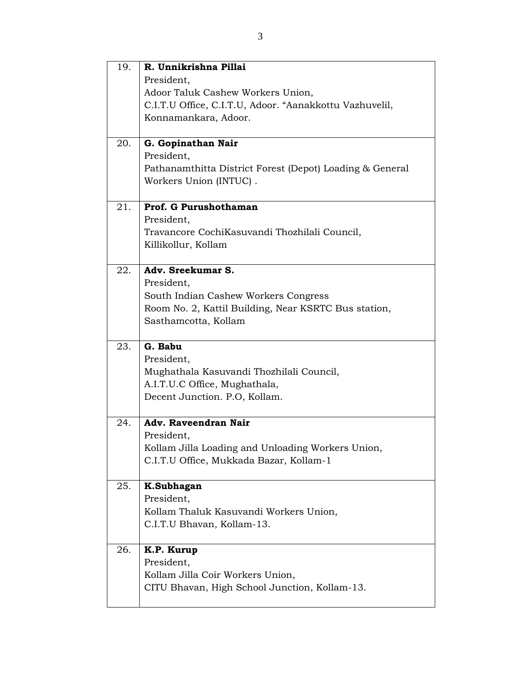| 19. | R. Unnikrishna Pillai                                    |
|-----|----------------------------------------------------------|
|     | President,                                               |
|     | Adoor Taluk Cashew Workers Union,                        |
|     | C.I.T.U Office, C.I.T.U, Adoor. "Aanakkottu Vazhuvelil,  |
|     | Konnamankara, Adoor.                                     |
|     |                                                          |
| 20. | G. Gopinathan Nair                                       |
|     | President,                                               |
|     | Pathanamthitta District Forest (Depot) Loading & General |
|     | Workers Union (INTUC).                                   |
| 21. | Prof. G Purushothaman                                    |
|     | President,                                               |
|     | Travancore CochiKasuvandi Thozhilali Council,            |
|     | Killikollur, Kollam                                      |
|     |                                                          |
| 22. | Adv. Sreekumar S.                                        |
|     | President,                                               |
|     | South Indian Cashew Workers Congress                     |
|     | Room No. 2, Kattil Building, Near KSRTC Bus station,     |
|     | Sasthamcotta, Kollam                                     |
| 23. | G. Babu                                                  |
|     | President,                                               |
|     | Mughathala Kasuvandi Thozhilali Council,                 |
|     | A.I.T.U.C Office, Mughathala,                            |
|     | Decent Junction. P.O. Kollam.                            |
|     |                                                          |
| 24. | Adv. Raveendran Nair                                     |
|     | President,                                               |
|     | Kollam Jilla Loading and Unloading Workers Union,        |
|     | C.I.T.U Office, Mukkada Bazar, Kollam-1                  |
| 25. | K.Subhagan                                               |
|     | President,                                               |
|     | Kollam Thaluk Kasuvandi Workers Union,                   |
|     | C.I.T.U Bhavan, Kollam-13.                               |
|     |                                                          |
| 26. | K.P. Kurup                                               |
|     | President,                                               |
|     | Kollam Jilla Coir Workers Union,                         |
|     |                                                          |
|     | CITU Bhavan, High School Junction, Kollam-13.            |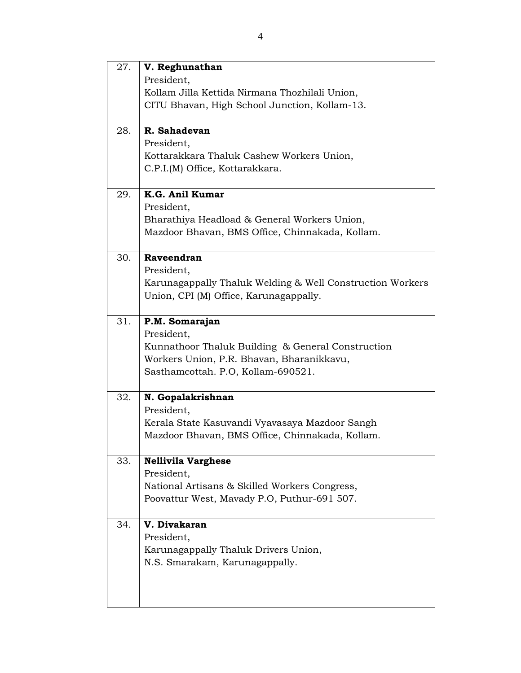| 27. | V. Reghunathan                                            |
|-----|-----------------------------------------------------------|
|     | President,                                                |
|     | Kollam Jilla Kettida Nirmana Thozhilali Union,            |
|     | CITU Bhavan, High School Junction, Kollam-13.             |
| 28. | R. Sahadevan                                              |
|     | President,                                                |
|     | Kottarakkara Thaluk Cashew Workers Union,                 |
|     | C.P.I.(M) Office, Kottarakkara.                           |
| 29. | K.G. Anil Kumar                                           |
|     | President,                                                |
|     | Bharathiya Headload & General Workers Union,              |
|     | Mazdoor Bhavan, BMS Office, Chinnakada, Kollam.           |
| 30. | Raveendran                                                |
|     | President,                                                |
|     | Karunagappally Thaluk Welding & Well Construction Workers |
|     | Union, CPI (M) Office, Karunagappally.                    |
| 31. | P.M. Somarajan                                            |
|     | President,                                                |
|     | Kunnathoor Thaluk Building & General Construction         |
|     | Workers Union, P.R. Bhavan, Bharanikkavu,                 |
|     | Sasthamcottah. P.O, Kollam-690521.                        |
| 32. | N. Gopalakrishnan                                         |
|     | President,                                                |
|     | Kerala State Kasuvandi Vyavasaya Mazdoor Sangh            |
|     | Mazdoor Bhavan, BMS Office, Chinnakada, Kollam.           |
| 33. | <b>Nellivila Varghese</b>                                 |
|     | President,                                                |
|     | National Artisans & Skilled Workers Congress,             |
|     | Poovattur West, Mavady P.O. Puthur-691 507.               |
| 34. | V. Divakaran                                              |
|     | President,                                                |
|     | Karunagappally Thaluk Drivers Union,                      |
|     | N.S. Smarakam, Karunagappally.                            |
|     |                                                           |
|     |                                                           |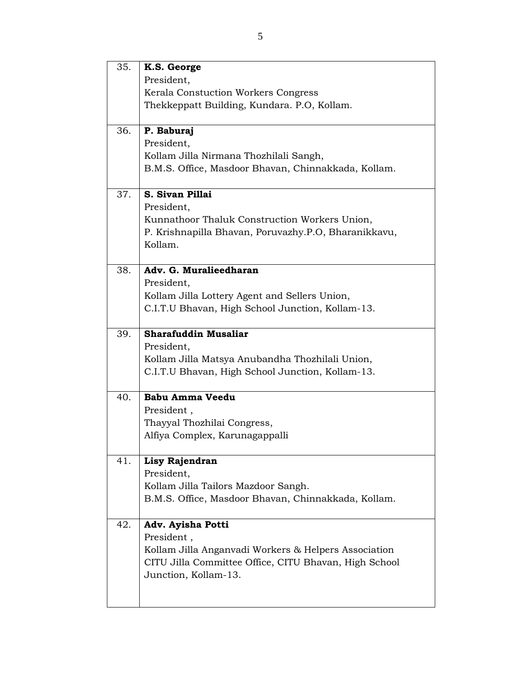| 35. | K.S. George                                           |
|-----|-------------------------------------------------------|
|     | President,                                            |
|     | Kerala Constuction Workers Congress                   |
|     | Thekkeppatt Building, Kundara. P.O., Kollam.          |
| 36. | P. Baburaj                                            |
|     | President,                                            |
|     | Kollam Jilla Nirmana Thozhilali Sangh,                |
|     | B.M.S. Office, Masdoor Bhavan, Chinnakkada, Kollam.   |
| 37. | S. Sivan Pillai                                       |
|     | President,                                            |
|     | Kunnathoor Thaluk Construction Workers Union,         |
|     | P. Krishnapilla Bhavan, Poruvazhy.P.O, Bharanikkavu,  |
|     | Kollam.                                               |
| 38. | Adv. G. Muralieedharan                                |
|     | President,                                            |
|     | Kollam Jilla Lottery Agent and Sellers Union,         |
|     | C.I.T.U Bhavan, High School Junction, Kollam-13.      |
| 39. | <b>Sharafuddin Musaliar</b>                           |
|     | President,                                            |
|     | Kollam Jilla Matsya Anubandha Thozhilali Union,       |
|     | C.I.T.U Bhavan, High School Junction, Kollam-13.      |
| 40. | <b>Babu Amma Veedu</b>                                |
|     | President,                                            |
|     | Thayyal Thozhilai Congress,                           |
|     | Alfiya Complex, Karunagappalli                        |
| 41. | Lisy Rajendran                                        |
|     | President,                                            |
|     | Kollam Jilla Tailors Mazdoor Sangh.                   |
|     | B.M.S. Office, Masdoor Bhavan, Chinnakkada, Kollam.   |
| 42. | Adv. Ayisha Potti                                     |
|     | President,                                            |
|     | Kollam Jilla Anganvadi Workers & Helpers Association  |
|     | CITU Jilla Committee Office, CITU Bhavan, High School |
|     | Junction, Kollam-13.                                  |
|     |                                                       |
|     |                                                       |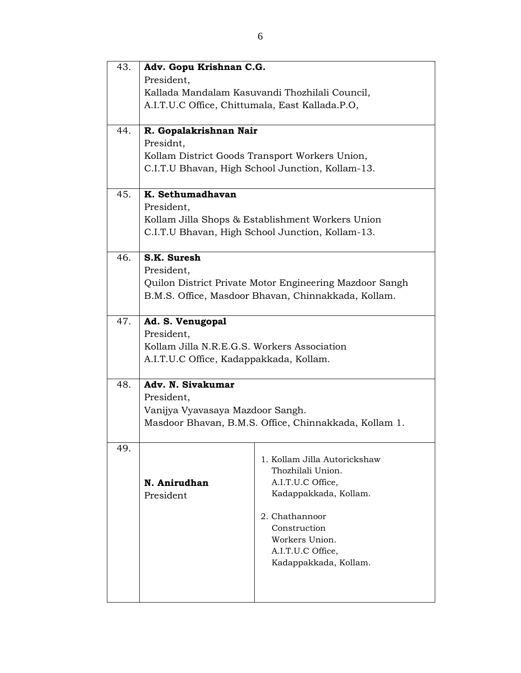| 43. | Adv. Gopu Krishnan C.G.                               |                                                                                                      |  |
|-----|-------------------------------------------------------|------------------------------------------------------------------------------------------------------|--|
|     | President,                                            |                                                                                                      |  |
|     | Kallada Mandalam Kasuvandi Thozhilali Council,        |                                                                                                      |  |
|     | A.I.T.U.C Office, Chittumala, East Kallada.P.O,       |                                                                                                      |  |
|     |                                                       |                                                                                                      |  |
| 44. | R. Gopalakrishnan Nair                                |                                                                                                      |  |
|     | Presidnt,                                             |                                                                                                      |  |
|     |                                                       | Kollam District Goods Transport Workers Union,                                                       |  |
|     |                                                       | C.I.T.U Bhavan, High School Junction, Kollam-13.                                                     |  |
|     |                                                       |                                                                                                      |  |
| 45. | K. Sethumadhavan                                      |                                                                                                      |  |
|     | President,                                            |                                                                                                      |  |
|     |                                                       | Kollam Jilla Shops & Establishment Workers Union<br>C.I.T.U Bhavan, High School Junction, Kollam-13. |  |
|     |                                                       |                                                                                                      |  |
| 46. | S.K. Suresh                                           |                                                                                                      |  |
|     | President,                                            |                                                                                                      |  |
|     |                                                       | Quilon District Private Motor Engineering Mazdoor Sangh                                              |  |
|     |                                                       | B.M.S. Office, Masdoor Bhavan, Chinnakkada, Kollam.                                                  |  |
|     |                                                       |                                                                                                      |  |
| 47. | Ad. S. Venugopal                                      |                                                                                                      |  |
|     | President,                                            |                                                                                                      |  |
|     | Kollam Jilla N.R.E.G.S. Workers Association           |                                                                                                      |  |
|     | A.I.T.U.C Office, Kadappakkada, Kollam.               |                                                                                                      |  |
| 48. | Adv. N. Sivakumar                                     |                                                                                                      |  |
|     | President,                                            |                                                                                                      |  |
|     | Vanijya Vyavasaya Mazdoor Sangh.                      |                                                                                                      |  |
|     | Masdoor Bhavan, B.M.S. Office, Chinnakkada, Kollam 1. |                                                                                                      |  |
|     |                                                       |                                                                                                      |  |
| 49. |                                                       |                                                                                                      |  |
|     |                                                       | 1. Kollam Jilla Autorickshaw                                                                         |  |
|     | N. Anirudhan                                          | Thozhilali Union.<br>A.I.T.U.C Office,                                                               |  |
|     | President                                             | Kadappakkada, Kollam.                                                                                |  |
|     |                                                       |                                                                                                      |  |
|     |                                                       | 2. Chathannoor                                                                                       |  |
|     |                                                       | Construction                                                                                         |  |
|     |                                                       | Workers Union.                                                                                       |  |
|     |                                                       | A.I.T.U.C Office,<br>Kadappakkada, Kollam.                                                           |  |
|     |                                                       |                                                                                                      |  |
|     |                                                       |                                                                                                      |  |
|     |                                                       |                                                                                                      |  |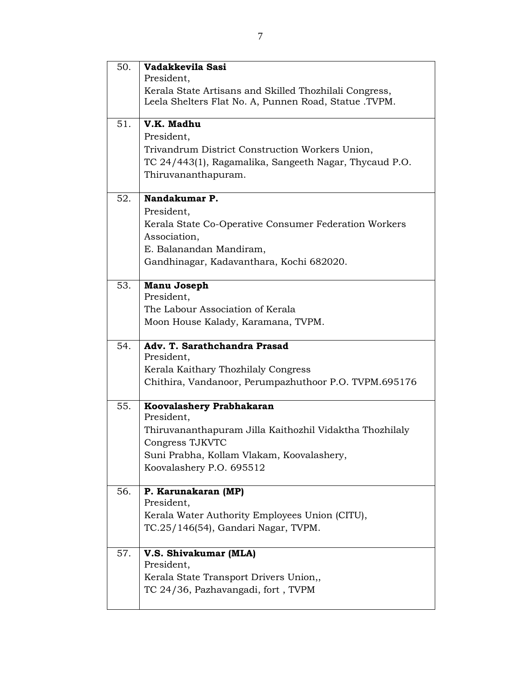| 50. | Vadakkevila Sasi                                                                                                |
|-----|-----------------------------------------------------------------------------------------------------------------|
|     | President,                                                                                                      |
|     | Kerala State Artisans and Skilled Thozhilali Congress,<br>Leela Shelters Flat No. A, Punnen Road, Statue .TVPM. |
|     |                                                                                                                 |
| 51. | $\overline{\mathbf{V}}$ .K. Madhu                                                                               |
|     | President,                                                                                                      |
|     | Trivandrum District Construction Workers Union,                                                                 |
|     | TC 24/443(1), Ragamalika, Sangeeth Nagar, Thycaud P.O.                                                          |
|     | Thiruvananthapuram.                                                                                             |
| 52. | Nandakumar P.                                                                                                   |
|     | President,                                                                                                      |
|     | Kerala State Co-Operative Consumer Federation Workers                                                           |
|     | Association,                                                                                                    |
|     | E. Balanandan Mandiram,                                                                                         |
|     | Gandhinagar, Kadavanthara, Kochi 682020.                                                                        |
|     |                                                                                                                 |
| 53. | Manu Joseph                                                                                                     |
|     | President,                                                                                                      |
|     | The Labour Association of Kerala                                                                                |
|     | Moon House Kalady, Karamana, TVPM.                                                                              |
| 54. | Adv. T. Sarathchandra Prasad                                                                                    |
|     | President,                                                                                                      |
|     | Kerala Kaithary Thozhilaly Congress                                                                             |
|     | Chithira, Vandanoor, Perumpazhuthoor P.O. TVPM.695176                                                           |
| 55. | Koovalashery Prabhakaran                                                                                        |
|     | President,                                                                                                      |
|     | Thiruvananthapuram Jilla Kaithozhil Vidaktha Thozhilaly                                                         |
|     | Congress TJKVTC                                                                                                 |
|     | Suni Prabha, Kollam Vlakam, Koovalashery,                                                                       |
|     | Koovalashery P.O. 695512                                                                                        |
| 56. | P. Karunakaran (MP)                                                                                             |
|     | President,                                                                                                      |
|     | Kerala Water Authority Employees Union (CITU),                                                                  |
|     | TC.25/146(54), Gandari Nagar, TVPM.                                                                             |
|     |                                                                                                                 |
| 57. | V.S. Shivakumar (MLA)                                                                                           |
|     | President,                                                                                                      |
|     | Kerala State Transport Drivers Union,,                                                                          |
|     | TC 24/36, Pazhavangadi, fort, TVPM                                                                              |
|     |                                                                                                                 |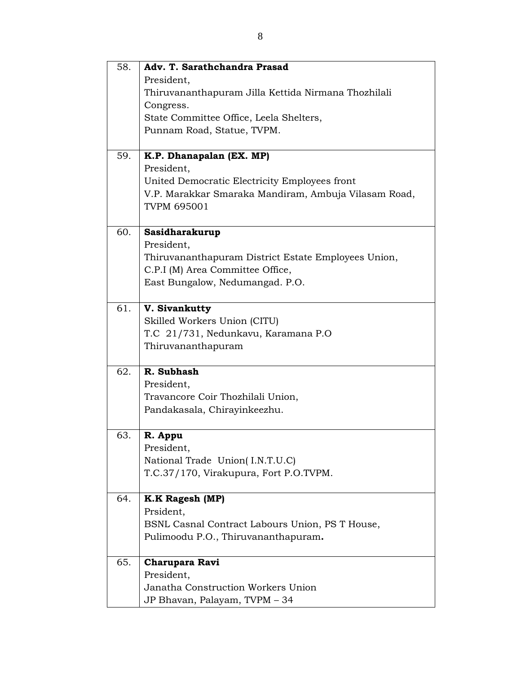| 58. | Adv. T. Sarathchandra Prasad                         |
|-----|------------------------------------------------------|
|     | President,                                           |
|     | Thiruvananthapuram Jilla Kettida Nirmana Thozhilali  |
|     | Congress.                                            |
|     | State Committee Office, Leela Shelters,              |
|     | Punnam Road, Statue, TVPM.                           |
|     |                                                      |
| 59. | K.P. Dhanapalan (EX. MP)                             |
|     | President,                                           |
|     | United Democratic Electricity Employees front        |
|     | V.P. Marakkar Smaraka Mandiram, Ambuja Vilasam Road, |
|     | <b>TVPM 695001</b>                                   |
|     |                                                      |
| 60. | Sasidharakurup                                       |
|     | President,                                           |
|     | Thiruvananthapuram District Estate Employees Union,  |
|     | C.P.I (M) Area Committee Office,                     |
|     | East Bungalow, Nedumangad. P.O.                      |
|     |                                                      |
| 61. | V. Sivankutty                                        |
|     | Skilled Workers Union (CITU)                         |
|     | T.C 21/731, Nedunkavu, Karamana P.O                  |
|     | Thiruvananthapuram                                   |
|     |                                                      |
| 62. | R. Subhash                                           |
|     | President,                                           |
|     | Travancore Coir Thozhilali Union,                    |
|     | Pandakasala, Chirayinkeezhu.                         |
|     |                                                      |
| 63. | R. Appu                                              |
|     | President,                                           |
|     | National Trade Union(I.N.T.U.C)                      |
|     | T.C.37/170, Virakupura, Fort P.O.TVPM.               |
|     |                                                      |
| 64. | <b>K.K Ragesh (MP)</b>                               |
|     | Prsident,                                            |
|     | BSNL Casnal Contract Labours Union, PS T House,      |
|     | Pulimoodu P.O., Thiruvananthapuram.                  |
|     |                                                      |
| 65. | <b>Charupara Ravi</b>                                |
|     | President,                                           |
|     | Janatha Construction Workers Union                   |
|     | JP Bhavan, Palayam, TVPM - 34                        |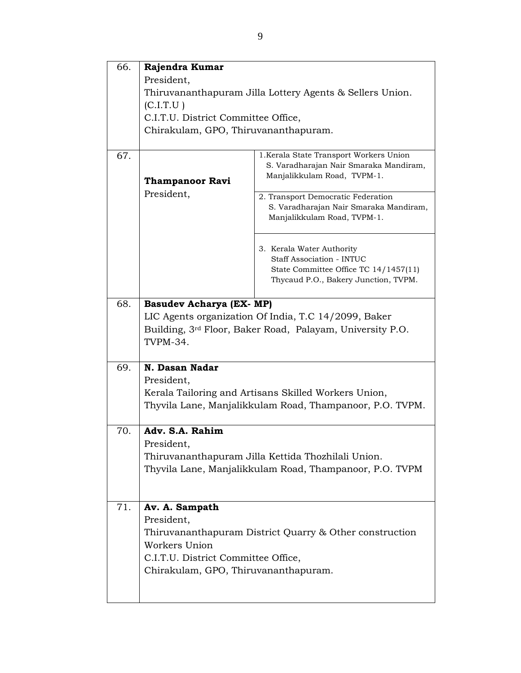| 66. | Rajendra Kumar                                           |                                                                                                                  |  |
|-----|----------------------------------------------------------|------------------------------------------------------------------------------------------------------------------|--|
|     | President,                                               |                                                                                                                  |  |
|     | Thiruvananthapuram Jilla Lottery Agents & Sellers Union. |                                                                                                                  |  |
|     | (C.I.T.U)                                                |                                                                                                                  |  |
|     | C.I.T.U. District Committee Office,                      |                                                                                                                  |  |
|     | Chirakulam, GPO, Thiruvananthapuram.                     |                                                                                                                  |  |
|     |                                                          |                                                                                                                  |  |
| 67. |                                                          | 1. Kerala State Transport Workers Union<br>S. Varadharajan Nair Smaraka Mandiram,<br>Manjalikkulam Road, TVPM-1. |  |
|     | <b>Thampanoor Ravi</b>                                   |                                                                                                                  |  |
|     | President,                                               | 2. Transport Democratic Federation                                                                               |  |
|     |                                                          | S. Varadharajan Nair Smaraka Mandiram,<br>Manjalikkulam Road, TVPM-1.                                            |  |
|     |                                                          | 3. Kerala Water Authority                                                                                        |  |
|     |                                                          | Staff Association - INTUC                                                                                        |  |
|     |                                                          | State Committee Office TC 14/1457(11)<br>Thycaud P.O., Bakery Junction, TVPM.                                    |  |
|     |                                                          |                                                                                                                  |  |
| 68. | <b>Basudev Acharya (EX- MP)</b>                          |                                                                                                                  |  |
|     |                                                          | LIC Agents organization Of India, T.C 14/2099, Baker                                                             |  |
|     |                                                          | Building, 3 <sup>rd</sup> Floor, Baker Road, Palayam, University P.O.                                            |  |
|     | TVPM-34.                                                 |                                                                                                                  |  |
|     |                                                          |                                                                                                                  |  |
| 69. | N. Dasan Nadar                                           |                                                                                                                  |  |
|     | President,                                               |                                                                                                                  |  |
|     |                                                          | Kerala Tailoring and Artisans Skilled Workers Union,                                                             |  |
|     |                                                          | Thyvila Lane, Manjalikkulam Road, Thampanoor, P.O. TVPM.                                                         |  |
|     |                                                          |                                                                                                                  |  |
| 70. | Adv. S.A. Rahim                                          |                                                                                                                  |  |
|     | President,                                               |                                                                                                                  |  |
|     |                                                          | Thiruvananthapuram Jilla Kettida Thozhilali Union.                                                               |  |
|     |                                                          | Thyvila Lane, Manjalikkulam Road, Thampanoor, P.O. TVPM                                                          |  |
|     |                                                          |                                                                                                                  |  |
|     |                                                          |                                                                                                                  |  |
| 71. | Av. A. Sampath                                           |                                                                                                                  |  |
|     | President,                                               |                                                                                                                  |  |
|     |                                                          | Thiruvananthapuram District Quarry & Other construction                                                          |  |
|     | Workers Union                                            |                                                                                                                  |  |
|     | C.I.T.U. District Committee Office,                      |                                                                                                                  |  |
|     | Chirakulam, GPO, Thiruvananthapuram.                     |                                                                                                                  |  |
|     |                                                          |                                                                                                                  |  |
|     |                                                          |                                                                                                                  |  |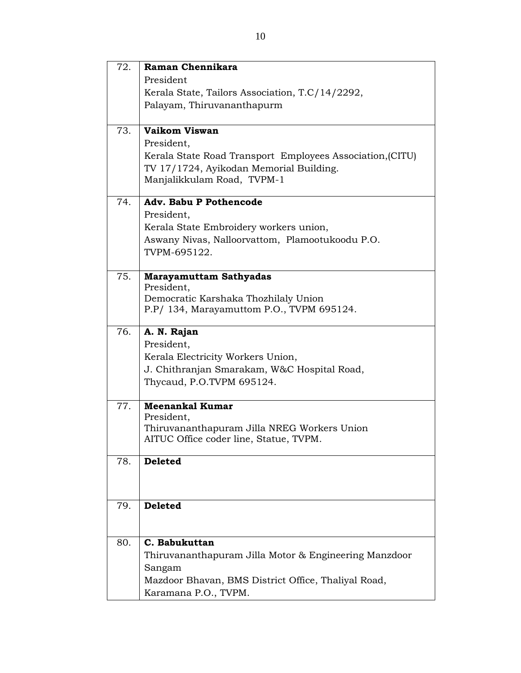| 72. | Raman Chennikara                                                                      |
|-----|---------------------------------------------------------------------------------------|
|     | President                                                                             |
|     | Kerala State, Tailors Association, T.C/14/2292,                                       |
|     | Palayam, Thiruvananthapurm                                                            |
| 73. | Vaikom Viswan                                                                         |
|     | President,                                                                            |
|     | Kerala State Road Transport Employees Association, (CITU)                             |
|     | TV 17/1724, Ayikodan Memorial Building.<br>Manjalikkulam Road, TVPM-1                 |
|     |                                                                                       |
| 74. | <b>Adv. Babu P Pothencode</b>                                                         |
|     | President,                                                                            |
|     | Kerala State Embroidery workers union,                                                |
|     | Aswany Nivas, Nalloorvattom, Plamootukoodu P.O.                                       |
|     | TVPM-695122.                                                                          |
| 75. | <b>Marayamuttam Sathyadas</b>                                                         |
|     | President,                                                                            |
|     | Democratic Karshaka Thozhilaly Union<br>P.P/ 134, Marayamuttom P.O., TVPM 695124.     |
|     |                                                                                       |
| 76. | A. N. Rajan                                                                           |
|     | President,                                                                            |
|     | Kerala Electricity Workers Union,                                                     |
|     | J. Chithranjan Smarakam, W&C Hospital Road,                                           |
|     | Thycaud, P.O.TVPM 695124.                                                             |
| 77. | <b>Meenankal Kumar</b>                                                                |
|     | President,                                                                            |
|     | Thiruvananthapuram Jilla NREG Workers Union<br>AITUC Office coder line, Statue, TVPM. |
|     |                                                                                       |
| 78. | <b>Deleted</b>                                                                        |
|     |                                                                                       |
|     |                                                                                       |
| 79. | <b>Deleted</b>                                                                        |
|     |                                                                                       |
| 80. | C. Babukuttan                                                                         |
|     | Thiruvananthapuram Jilla Motor & Engineering Manzdoor                                 |
|     | Sangam                                                                                |
|     | Mazdoor Bhavan, BMS District Office, Thaliyal Road,                                   |
|     | Karamana P.O., TVPM.                                                                  |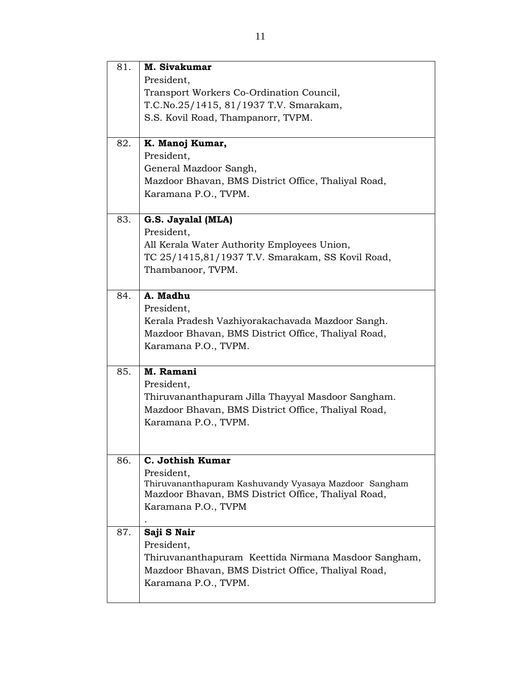| 81. | M. Sivakumar                                          |
|-----|-------------------------------------------------------|
|     | President,                                            |
|     | Transport Workers Co-Ordination Council,              |
|     | T.C.No.25/1415, 81/1937 T.V. Smarakam,                |
|     | S.S. Kovil Road, Thampanorr, TVPM.                    |
|     |                                                       |
| 82. | K. Manoj Kumar,                                       |
|     | President,                                            |
|     | General Mazdoor Sangh,                                |
|     | Mazdoor Bhavan, BMS District Office, Thaliyal Road,   |
|     | Karamana P.O., TVPM.                                  |
|     |                                                       |
| 83. | G.S. Jayalal (MLA)                                    |
|     | President,                                            |
|     | All Kerala Water Authority Employees Union,           |
|     | TC 25/1415,81/1937 T.V. Smarakam, SS Kovil Road,      |
|     | Thambanoor, TVPM.                                     |
|     |                                                       |
| 84. | A. Madhu                                              |
|     | President,                                            |
|     | Kerala Pradesh Vazhiyorakachavada Mazdoor Sangh.      |
|     | Mazdoor Bhavan, BMS District Office, Thaliyal Road,   |
|     | Karamana P.O., TVPM.                                  |
|     |                                                       |
| 85. | M. Ramani                                             |
|     | President,                                            |
|     | Thiruvananthapuram Jilla Thayyal Masdoor Sangham.     |
|     | Mazdoor Bhavan, BMS District Office, Thaliyal Road,   |
|     | Karamana P.O., TVPM.                                  |
|     |                                                       |
|     |                                                       |
| 86. | C. Jothish Kumar                                      |
|     | President,                                            |
|     | Thiruvananthapuram Kashuvandy Vyasaya Mazdoor Sangham |
|     | Mazdoor Bhavan, BMS District Office, Thaliyal Road,   |
|     | Karamana P.O., TVPM                                   |
| 87. | Saji S Nair                                           |
|     |                                                       |
|     | President,                                            |
|     | Thiruvananthapuram Keettida Nirmana Masdoor Sangham,  |
|     | Mazdoor Bhavan, BMS District Office, Thaliyal Road,   |
|     | Karamana P.O., TVPM.                                  |
|     |                                                       |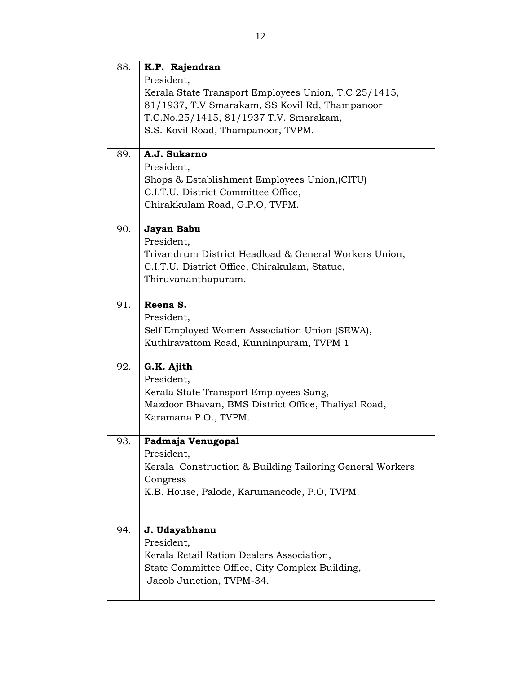| 88. | K.P. Rajendran                                           |
|-----|----------------------------------------------------------|
|     | President.                                               |
|     | Kerala State Transport Employees Union, T.C 25/1415,     |
|     | 81/1937, T.V Smarakam, SS Kovil Rd, Thampanoor           |
|     | T.C.No.25/1415, 81/1937 T.V. Smarakam,                   |
|     | S.S. Kovil Road, Thampanoor, TVPM.                       |
|     |                                                          |
| 89. | A.J. Sukarno                                             |
|     | President,                                               |
|     | Shops & Establishment Employees Union, (CITU)            |
|     | C.I.T.U. District Committee Office,                      |
|     | Chirakkulam Road, G.P.O, TVPM.                           |
|     |                                                          |
| 90. | Jayan Babu                                               |
|     | President,                                               |
|     | Trivandrum District Headload & General Workers Union,    |
|     | C.I.T.U. District Office, Chirakulam, Statue,            |
|     | Thiruvananthapuram.                                      |
| 91. | Reena S.                                                 |
|     |                                                          |
|     | President,                                               |
|     | Self Employed Women Association Union (SEWA),            |
|     | Kuthiravattom Road, Kunninpuram, TVPM 1                  |
| 92. | G.K. Ajith                                               |
|     | President,                                               |
|     | Kerala State Transport Employees Sang,                   |
|     | Mazdoor Bhavan, BMS District Office, Thaliyal Road,      |
|     | Karamana P.O., TVPM.                                     |
|     |                                                          |
| 93. | Padmaja Venugopal                                        |
|     | President,                                               |
|     | Kerala Construction & Building Tailoring General Workers |
|     | Congress                                                 |
|     | K.B. House, Palode, Karumancode, P.O. TVPM.              |
|     |                                                          |
|     |                                                          |
| 94. | J. Udayabhanu                                            |
|     | President,                                               |
|     | Kerala Retail Ration Dealers Association,                |
|     | State Committee Office, City Complex Building,           |
|     | Jacob Junction, TVPM-34.                                 |
|     |                                                          |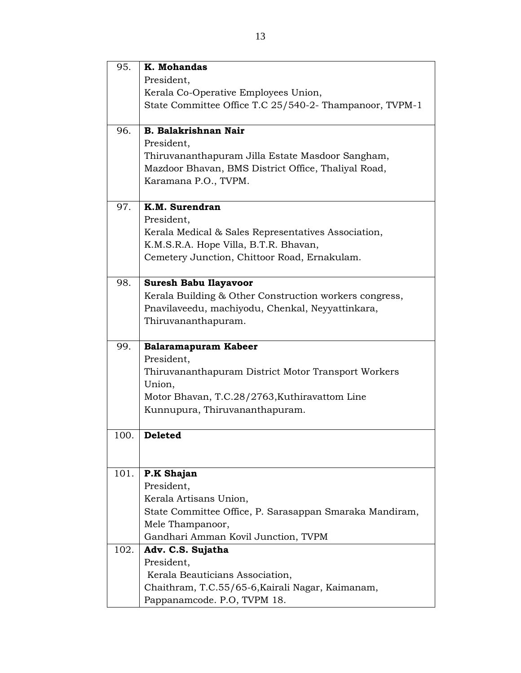| 95.  | K. Mohandas                                             |
|------|---------------------------------------------------------|
|      | President,                                              |
|      | Kerala Co-Operative Employees Union,                    |
|      | State Committee Office T.C 25/540-2- Thampanoor, TVPM-1 |
|      |                                                         |
| 96.  | <b>B. Balakrishnan Nair</b>                             |
|      | President,                                              |
|      | Thiruvananthapuram Jilla Estate Masdoor Sangham,        |
|      | Mazdoor Bhavan, BMS District Office, Thaliyal Road,     |
|      | Karamana P.O., TVPM.                                    |
| 97.  | K.M. Surendran                                          |
|      | President,                                              |
|      | Kerala Medical & Sales Representatives Association,     |
|      | K.M.S.R.A. Hope Villa, B.T.R. Bhavan,                   |
|      | Cemetery Junction, Chittoor Road, Ernakulam.            |
|      |                                                         |
| 98.  | <b>Suresh Babu Ilayavoor</b>                            |
|      | Kerala Building & Other Construction workers congress,  |
|      | Pnavilaveedu, machiyodu, Chenkal, Neyyattinkara,        |
|      | Thiruvananthapuram.                                     |
|      |                                                         |
| 99.  | <b>Balaramapuram Kabeer</b>                             |
|      | President,                                              |
|      | Thiruvananthapuram District Motor Transport Workers     |
|      | Union,                                                  |
|      | Motor Bhavan, T.C.28/2763, Kuthiravattom Line           |
|      | Kunnupura, Thiruvananthapuram.                          |
| 100. | <b>Deleted</b>                                          |
|      |                                                         |
|      |                                                         |
| 101. | P.K Shajan                                              |
|      | President,                                              |
|      | Kerala Artisans Union,                                  |
|      | State Committee Office, P. Sarasappan Smaraka Mandiram, |
|      | Mele Thampanoor,                                        |
|      | Gandhari Amman Kovil Junction, TVPM                     |
| 102. | Adv. C.S. Sujatha                                       |
|      | President,                                              |
|      | Kerala Beauticians Association,                         |
|      | Chaithram, T.C.55/65-6, Kairali Nagar, Kaimanam,        |
|      | Pappanamcode. P.O, TVPM 18.                             |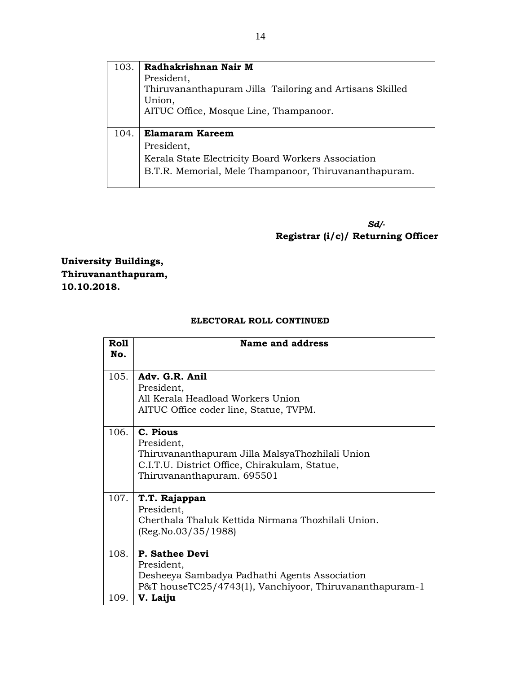| 103. | Radhakrishnan Nair M                                    |
|------|---------------------------------------------------------|
|      | President,                                              |
|      | Thiruvananthapuram Jilla Tailoring and Artisans Skilled |
|      | Union,                                                  |
|      | AITUC Office, Mosque Line, Thampanoor.                  |
|      |                                                         |
|      |                                                         |
| 104. | <b>Elamaram Kareem</b>                                  |
|      | President,                                              |
|      | Kerala State Electricity Board Workers Association      |
|      | B.T.R. Memorial, Mele Thampanoor, Thiruvananthapuram.   |

*Sd/-* **Registrar (i/c)/ Returning Officer**

**University Buildings, Thiruvananthapuram, 10.10.2018.**

### **ELECTORAL ROLL CONTINUED**

| <b>Roll</b><br>No. | Name and address                                                                                                                                         |
|--------------------|----------------------------------------------------------------------------------------------------------------------------------------------------------|
| 105.               | Adv. G.R. Anil<br>President,<br>All Kerala Headload Workers Union<br>AITUC Office coder line, Statue, TVPM.                                              |
| 106.               | C. Pious<br>President,<br>Thiruvananthapuram Jilla MalsyaThozhilali Union<br>C.I.T.U. District Office, Chirakulam, Statue,<br>Thiruvananthapuram. 695501 |
| 107.               | T.T. Rajappan<br>President,<br>Cherthala Thaluk Kettida Nirmana Thozhilali Union.<br>(Reg No.03/35/1988)                                                 |
| 108.               | P. Sathee Devi<br>President,<br>Desheeya Sambadya Padhathi Agents Association<br>P&T houseTC25/4743(1), Vanchiyoor, Thiruvananthapuram-1                 |
| 109.               | V. Laiju                                                                                                                                                 |